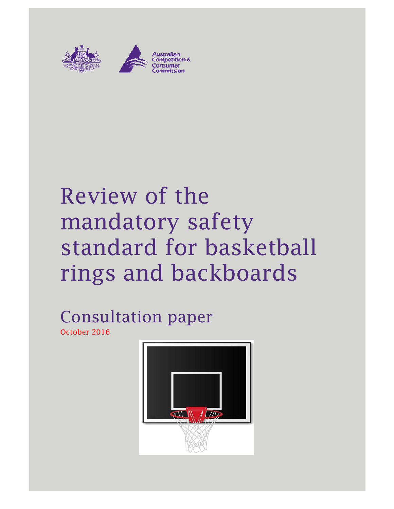

# Review of the mandatory safety standard for basketball rings and backboards

Consultation paper October 2016

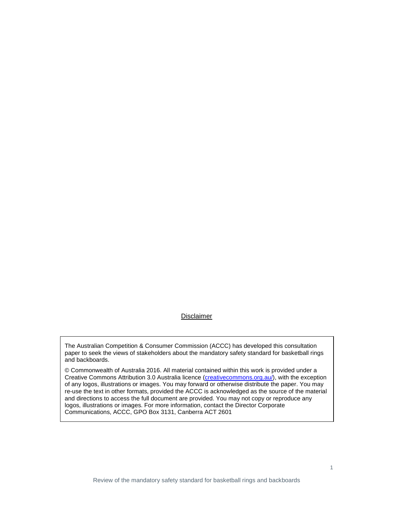#### Disclaimer

The Australian Competition & Consumer Commission (ACCC) has developed this consultation paper to seek the views of stakeholders about the mandatory safety standard for basketball rings and backboards.

© Commonwealth of Australia 2016. All material contained within this work is provided under a Creative Commons Attribution 3.0 Australia licence (creativecommons.org.au/), with the exception of any logos, illustrations or images. You may forward or otherwise distribute the paper. You may re-use the text in other formats, provided the ACCC is acknowledged as the source of the material and directions to access the full document are provided. You may not copy or reproduce any logos, illustrations or images. For more information, contact the Director Corporate Communications, ACCC, GPO Box 3131, Canberra ACT 2601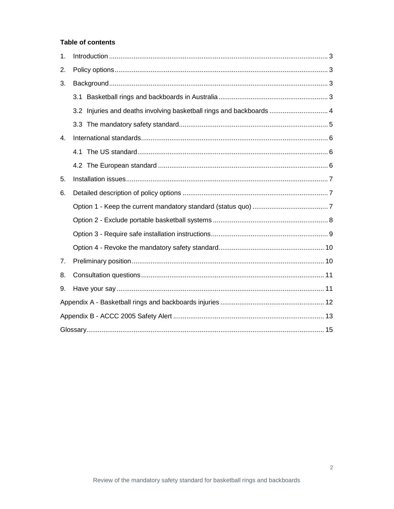#### **Table of contents**

| 1.             |  |                                                                      |  |  |  |
|----------------|--|----------------------------------------------------------------------|--|--|--|
| 2.             |  |                                                                      |  |  |  |
| 3.             |  |                                                                      |  |  |  |
|                |  |                                                                      |  |  |  |
|                |  | 3.2 Injuries and deaths involving basketball rings and backboards  4 |  |  |  |
|                |  |                                                                      |  |  |  |
| 4.             |  |                                                                      |  |  |  |
|                |  |                                                                      |  |  |  |
|                |  |                                                                      |  |  |  |
| 5.             |  |                                                                      |  |  |  |
| 6.             |  |                                                                      |  |  |  |
|                |  |                                                                      |  |  |  |
|                |  |                                                                      |  |  |  |
|                |  |                                                                      |  |  |  |
|                |  |                                                                      |  |  |  |
| 7 <sub>1</sub> |  |                                                                      |  |  |  |
| 8.             |  |                                                                      |  |  |  |
| 9.             |  |                                                                      |  |  |  |
|                |  |                                                                      |  |  |  |
|                |  |                                                                      |  |  |  |
|                |  |                                                                      |  |  |  |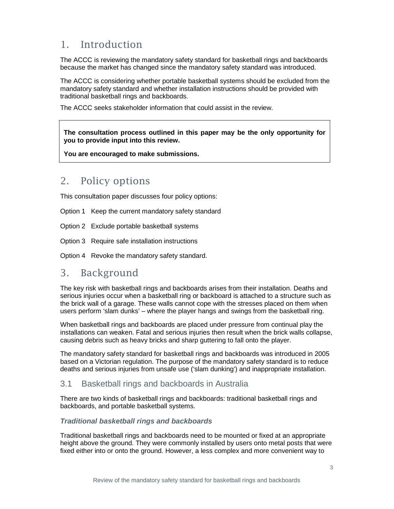## 1. Introduction

The ACCC is reviewing the mandatory safety standard for basketball rings and backboards because the market has changed since the mandatory safety standard was introduced.

The ACCC is considering whether portable basketball systems should be excluded from the mandatory safety standard and whether installation instructions should be provided with traditional basketball rings and backboards.

The ACCC seeks stakeholder information that could assist in the review.

**The consultation process outlined in this paper may be the only opportunity for you to provide input into this review.** 

**You are encouraged to make submissions.** 

## 2. Policy options

This consultation paper discusses four policy options:

Option 1 Keep the current mandatory safety standard

Option 2 Exclude portable basketball systems

Option 3 Require safe installation instructions

Option 4 Revoke the mandatory safety standard.

## 3. Background

The key risk with basketball rings and backboards arises from their installation. Deaths and serious injuries occur when a basketball ring or backboard is attached to a structure such as the brick wall of a garage. These walls cannot cope with the stresses placed on them when users perform 'slam dunks' – where the player hangs and swings from the basketball ring.

When basketball rings and backboards are placed under pressure from continual play the installations can weaken. Fatal and serious injuries then result when the brick walls collapse, causing debris such as heavy bricks and sharp guttering to fall onto the player.

The mandatory safety standard for basketball rings and backboards was introduced in 2005 based on a Victorian regulation. The purpose of the mandatory safety standard is to reduce deaths and serious injuries from unsafe use ('slam dunking') and inappropriate installation.

## 3.1 Basketball rings and backboards in Australia

There are two kinds of basketball rings and backboards: traditional basketball rings and backboards, and portable basketball systems.

#### **Traditional basketball rings and backboards**

Traditional basketball rings and backboards need to be mounted or fixed at an appropriate height above the ground. They were commonly installed by users onto metal posts that were fixed either into or onto the ground. However, a less complex and more convenient way to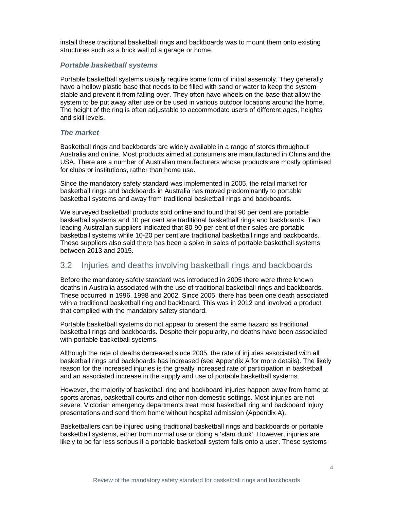install these traditional basketball rings and backboards was to mount them onto existing structures such as a brick wall of a garage or home.

#### **Portable basketball systems**

Portable basketball systems usually require some form of initial assembly. They generally have a hollow plastic base that needs to be filled with sand or water to keep the system stable and prevent it from falling over. They often have wheels on the base that allow the system to be put away after use or be used in various outdoor locations around the home. The height of the ring is often adjustable to accommodate users of different ages, heights and skill levels.

#### **The market**

Basketball rings and backboards are widely available in a range of stores throughout Australia and online. Most products aimed at consumers are manufactured in China and the USA. There are a number of Australian manufacturers whose products are mostly optimised for clubs or institutions, rather than home use.

Since the mandatory safety standard was implemented in 2005, the retail market for basketball rings and backboards in Australia has moved predominantly to portable basketball systems and away from traditional basketball rings and backboards.

We surveyed basketball products sold online and found that 90 per cent are portable basketball systems and 10 per cent are traditional basketball rings and backboards. Two leading Australian suppliers indicated that 80-90 per cent of their sales are portable basketball systems while 10-20 per cent are traditional basketball rings and backboards. These suppliers also said there has been a spike in sales of portable basketball systems between 2013 and 2015.

## 3.2 Injuries and deaths involving basketball rings and backboards

Before the mandatory safety standard was introduced in 2005 there were three known deaths in Australia associated with the use of traditional basketball rings and backboards. These occurred in 1996, 1998 and 2002. Since 2005, there has been one death associated with a traditional basketball ring and backboard. This was in 2012 and involved a product that complied with the mandatory safety standard.

Portable basketball systems do not appear to present the same hazard as traditional basketball rings and backboards. Despite their popularity, no deaths have been associated with portable basketball systems.

Although the rate of deaths decreased since 2005, the rate of injuries associated with all basketball rings and backboards has increased (see Appendix A for more details). The likely reason for the increased injuries is the greatly increased rate of participation in basketball and an associated increase in the supply and use of portable basketball systems.

However, the majority of basketball ring and backboard injuries happen away from home at sports arenas, basketball courts and other non-domestic settings. Most injuries are not severe. Victorian emergency departments treat most basketball ring and backboard injury presentations and send them home without hospital admission (Appendix A).

Basketballers can be injured using traditional basketball rings and backboards or portable basketball systems, either from normal use or doing a 'slam dunk'. However, injuries are likely to be far less serious if a portable basketball system falls onto a user. These systems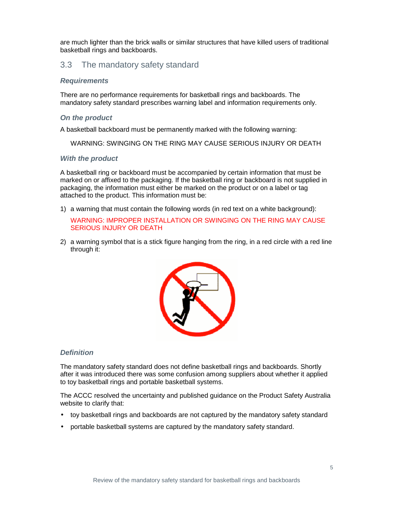are much lighter than the brick walls or similar structures that have killed users of traditional basketball rings and backboards.

#### 3.3 The mandatory safety standard

#### **Requirements**

There are no performance requirements for basketball rings and backboards. The mandatory safety standard prescribes warning label and information requirements only.

#### **On the product**

A basketball backboard must be permanently marked with the following warning:

WARNING: SWINGING ON THE RING MAY CAUSE SERIOUS INJURY OR DEATH

#### **With the product**

A basketball ring or backboard must be accompanied by certain information that must be marked on or affixed to the packaging. If the basketball ring or backboard is not supplied in packaging, the information must either be marked on the product or on a label or tag attached to the product. This information must be:

1) a warning that must contain the following words (in red text on a white background):

#### WARNING: IMPROPER INSTALLATION OR SWINGING ON THE RING MAY CAUSE SERIOUS INJURY OR DEATH

2) a warning symbol that is a stick figure hanging from the ring, in a red circle with a red line through it:



#### **Definition**

The mandatory safety standard does not define basketball rings and backboards. Shortly after it was introduced there was some confusion among suppliers about whether it applied to toy basketball rings and portable basketball systems.

The ACCC resolved the uncertainty and published guidance on the Product Safety Australia website to clarify that:

- toy basketball rings and backboards are not captured by the mandatory safety standard
- portable basketball systems are captured by the mandatory safety standard.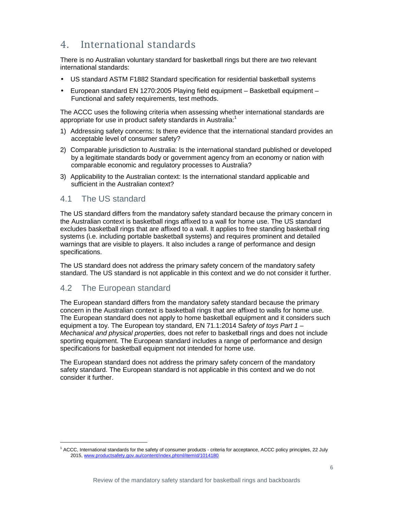# 4. International standards

There is no Australian voluntary standard for basketball rings but there are two relevant international standards:

- US standard ASTM F1882 Standard specification for residential basketball systems
- European standard EN 1270:2005 Playing field equipment Basketball equipment Functional and safety requirements, test methods.

The ACCC uses the following criteria when assessing whether international standards are appropriate for use in product safety standards in Australia:<sup>1</sup>

- 1) Addressing safety concerns: Is there evidence that the international standard provides an acceptable level of consumer safety?
- 2) Comparable jurisdiction to Australia: Is the international standard published or developed by a legitimate standards body or government agency from an economy or nation with comparable economic and regulatory processes to Australia?
- 3) Applicability to the Australian context: Is the international standard applicable and sufficient in the Australian context?

## 4.1 The US standard

The US standard differs from the mandatory safety standard because the primary concern in the Australian context is basketball rings affixed to a wall for home use. The US standard excludes basketball rings that are affixed to a wall. It applies to free standing basketball ring systems (i.e. including portable basketball systems) and requires prominent and detailed warnings that are visible to players. It also includes a range of performance and design specifications.

The US standard does not address the primary safety concern of the mandatory safety standard. The US standard is not applicable in this context and we do not consider it further.

#### 4.2 The European standard

1

The European standard differs from the mandatory safety standard because the primary concern in the Australian context is basketball rings that are affixed to walls for home use. The European standard does not apply to home basketball equipment and it considers such equipment a toy. The European toy standard, EN 71.1:2014 Safety of toys Part  $1 -$ Mechanical and physical properties, does not refer to basketball rings and does not include sporting equipment. The European standard includes a range of performance and design specifications for basketball equipment not intended for home use.

The European standard does not address the primary safety concern of the mandatory safety standard. The European standard is not applicable in this context and we do not consider it further.

<sup>&</sup>lt;sup>1</sup> ACCC, International standards for the safety of consumer products - criteria for acceptance, ACCC policy principles, 22 July 2015, www.productsafety.gov.au/content/index.phtml/itemId/1014180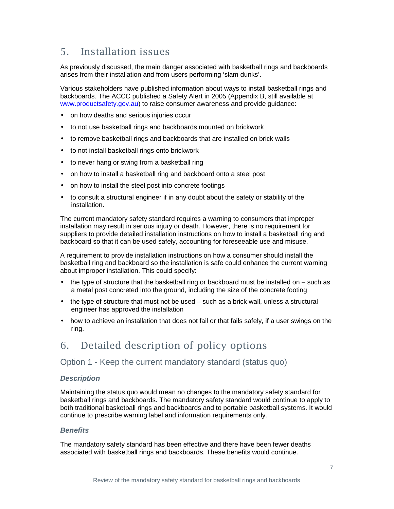## 5. Installation issues

As previously discussed, the main danger associated with basketball rings and backboards arises from their installation and from users performing 'slam dunks'.

Various stakeholders have published information about ways to install basketball rings and backboards. The ACCC published a Safety Alert in 2005 (Appendix B, still available at www.productsafety.gov.au) to raise consumer awareness and provide guidance:

- on how deaths and serious injuries occur
- to not use basketball rings and backboards mounted on brickwork
- to remove basketball rings and backboards that are installed on brick walls
- to not install basketball rings onto brickwork
- to never hang or swing from a basketball ring
- on how to install a basketball ring and backboard onto a steel post
- on how to install the steel post into concrete footings
- to consult a structural engineer if in any doubt about the safety or stability of the installation.

The current mandatory safety standard requires a warning to consumers that improper installation may result in serious injury or death. However, there is no requirement for suppliers to provide detailed installation instructions on how to install a basketball ring and backboard so that it can be used safely, accounting for foreseeable use and misuse.

A requirement to provide installation instructions on how a consumer should install the basketball ring and backboard so the installation is safe could enhance the current warning about improper installation. This could specify:

- $\bullet$  the type of structure that the basketball ring or backboard must be installed on  $-$  such as a metal post concreted into the ground, including the size of the concrete footing
- the type of structure that must not be used such as a brick wall, unless a structural engineer has approved the installation
- how to achieve an installation that does not fail or that fails safely, if a user swings on the ring.

## 6. Detailed description of policy options

## Option 1 - Keep the current mandatory standard (status quo)

#### **Description**

Maintaining the status quo would mean no changes to the mandatory safety standard for basketball rings and backboards. The mandatory safety standard would continue to apply to both traditional basketball rings and backboards and to portable basketball systems. It would continue to prescribe warning label and information requirements only.

#### **Benefits**

The mandatory safety standard has been effective and there have been fewer deaths associated with basketball rings and backboards. These benefits would continue.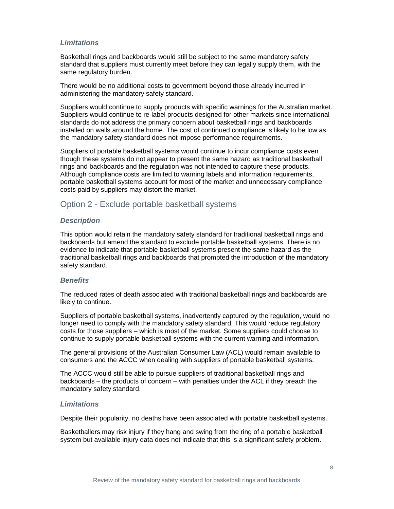#### **Limitations**

Basketball rings and backboards would still be subject to the same mandatory safety standard that suppliers must currently meet before they can legally supply them, with the same regulatory burden.

There would be no additional costs to government beyond those already incurred in administering the mandatory safety standard.

Suppliers would continue to supply products with specific warnings for the Australian market. Suppliers would continue to re-label products designed for other markets since international standards do not address the primary concern about basketball rings and backboards installed on walls around the home. The cost of continued compliance is likely to be low as the mandatory safety standard does not impose performance requirements.

Suppliers of portable basketball systems would continue to incur compliance costs even though these systems do not appear to present the same hazard as traditional basketball rings and backboards and the regulation was not intended to capture these products. Although compliance costs are limited to warning labels and information requirements, portable basketball systems account for most of the market and unnecessary compliance costs paid by suppliers may distort the market.

## Option 2 - Exclude portable basketball systems

#### **Description**

This option would retain the mandatory safety standard for traditional basketball rings and backboards but amend the standard to exclude portable basketball systems. There is no evidence to indicate that portable basketball systems present the same hazard as the traditional basketball rings and backboards that prompted the introduction of the mandatory safety standard.

#### **Benefits**

The reduced rates of death associated with traditional basketball rings and backboards are likely to continue.

Suppliers of portable basketball systems, inadvertently captured by the regulation, would no longer need to comply with the mandatory safety standard. This would reduce regulatory costs for those suppliers – which is most of the market. Some suppliers could choose to continue to supply portable basketball systems with the current warning and information.

The general provisions of the Australian Consumer Law (ACL) would remain available to consumers and the ACCC when dealing with suppliers of portable basketball systems.

The ACCC would still be able to pursue suppliers of traditional basketball rings and backboards – the products of concern – with penalties under the ACL if they breach the mandatory safety standard.

#### **Limitations**

Despite their popularity, no deaths have been associated with portable basketball systems.

Basketballers may risk injury if they hang and swing from the ring of a portable basketball system but available injury data does not indicate that this is a significant safety problem.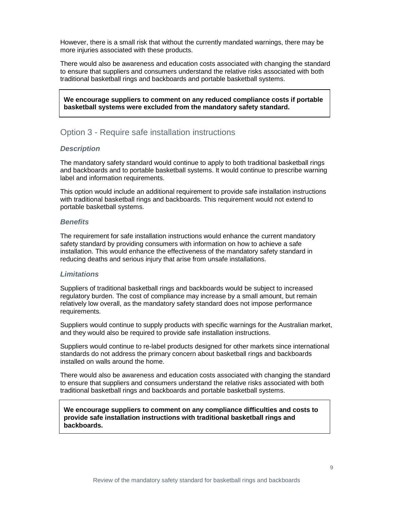However, there is a small risk that without the currently mandated warnings, there may be more injuries associated with these products.

There would also be awareness and education costs associated with changing the standard to ensure that suppliers and consumers understand the relative risks associated with both traditional basketball rings and backboards and portable basketball systems.

**We encourage suppliers to comment on any reduced compliance costs if portable basketball systems were excluded from the mandatory safety standard.**

#### Option 3 - Require safe installation instructions

#### **Description**

The mandatory safety standard would continue to apply to both traditional basketball rings and backboards and to portable basketball systems. It would continue to prescribe warning label and information requirements.

This option would include an additional requirement to provide safe installation instructions with traditional basketball rings and backboards. This requirement would not extend to portable basketball systems.

#### **Benefits**

The requirement for safe installation instructions would enhance the current mandatory safety standard by providing consumers with information on how to achieve a safe installation. This would enhance the effectiveness of the mandatory safety standard in reducing deaths and serious injury that arise from unsafe installations.

#### **Limitations**

•

Suppliers of traditional basketball rings and backboards would be subject to increased regulatory burden. The cost of compliance may increase by a small amount, but remain relatively low overall, as the mandatory safety standard does not impose performance requirements.

Suppliers would continue to supply products with specific warnings for the Australian market, and they would also be required to provide safe installation instructions.

Suppliers would continue to re-label products designed for other markets since international standards do not address the primary concern about basketball rings and backboards installed on walls around the home.

There would also be awareness and education costs associated with changing the standard to ensure that suppliers and consumers understand the relative risks associated with both traditional basketball rings and backboards and portable basketball systems.

**We encourage suppliers to comment on any compliance difficulties and costs to provide safe installation instructions with traditional basketball rings and backboards.**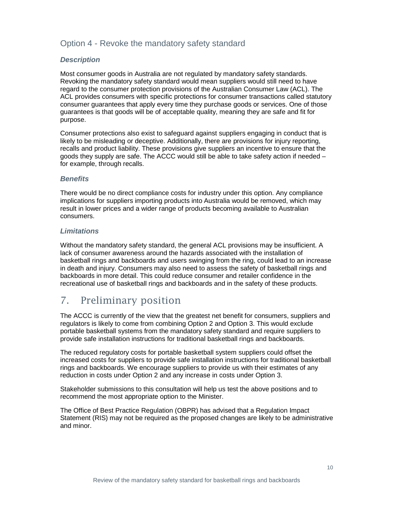## Option 4 - Revoke the mandatory safety standard

#### **Description**

Most consumer goods in Australia are not regulated by mandatory safety standards. Revoking the mandatory safety standard would mean suppliers would still need to have regard to the consumer protection provisions of the Australian Consumer Law (ACL). The ACL provides consumers with specific protections for consumer transactions called statutory consumer guarantees that apply every time they purchase goods or services. One of those guarantees is that goods will be of acceptable quality, meaning they are safe and fit for purpose.

Consumer protections also exist to safeguard against suppliers engaging in conduct that is likely to be misleading or deceptive. Additionally, there are provisions for injury reporting, recalls and product liability. These provisions give suppliers an incentive to ensure that the goods they supply are safe. The ACCC would still be able to take safety action if needed – for example, through recalls.

#### **Benefits**

There would be no direct compliance costs for industry under this option. Any compliance implications for suppliers importing products into Australia would be removed, which may result in lower prices and a wider range of products becoming available to Australian consumers.

#### **Limitations**

Without the mandatory safety standard, the general ACL provisions may be insufficient. A lack of consumer awareness around the hazards associated with the installation of basketball rings and backboards and users swinging from the ring, could lead to an increase in death and injury. Consumers may also need to assess the safety of basketball rings and backboards in more detail. This could reduce consumer and retailer confidence in the recreational use of basketball rings and backboards and in the safety of these products.

## 7. Preliminary position

The ACCC is currently of the view that the greatest net benefit for consumers, suppliers and regulators is likely to come from combining Option 2 and Option 3. This would exclude portable basketball systems from the mandatory safety standard and require suppliers to provide safe installation instructions for traditional basketball rings and backboards.

The reduced regulatory costs for portable basketball system suppliers could offset the increased costs for suppliers to provide safe installation instructions for traditional basketball rings and backboards. We encourage suppliers to provide us with their estimates of any reduction in costs under Option 2 and any increase in costs under Option 3.

Stakeholder submissions to this consultation will help us test the above positions and to recommend the most appropriate option to the Minister.

The Office of Best Practice Regulation (OBPR) has advised that a Regulation Impact Statement (RIS) may not be required as the proposed changes are likely to be administrative and minor.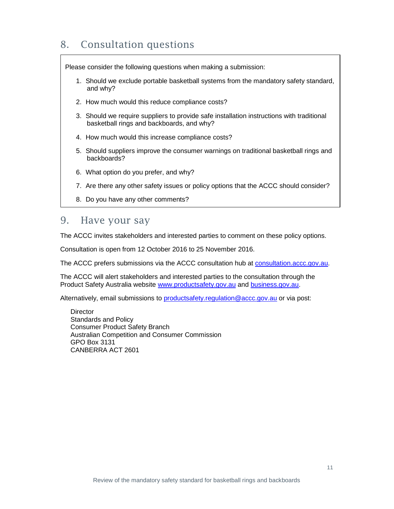# 8. Consultation questions

Please consider the following questions when making a submission:

- 1. Should we exclude portable basketball systems from the mandatory safety standard, and why?
- 2. How much would this reduce compliance costs?
- 3. Should we require suppliers to provide safe installation instructions with traditional basketball rings and backboards, and why?
- 4. How much would this increase compliance costs?
- 5. Should suppliers improve the consumer warnings on traditional basketball rings and backboards?
- 6. What option do you prefer, and why?
- 7. Are there any other safety issues or policy options that the ACCC should consider?
	- 8. Do you have any other comments?

## 9. Have your say

The ACCC invites stakeholders and interested parties to comment on these policy options.

Consultation is open from 12 October 2016 to 25 November 2016.

The ACCC prefers submissions via the ACCC consultation hub at consultation.accc.gov.au.

The ACCC will alert stakeholders and interested parties to the consultation through the Product Safety Australia website www.productsafety.gov.au and business.gov.au.

Alternatively, email submissions to productsafety.regulation@accc.gov.au or via post:

**Director** Standards and Policy Consumer Product Safety Branch Australian Competition and Consumer Commission GPO Box 3131 CANBERRA ACT 2601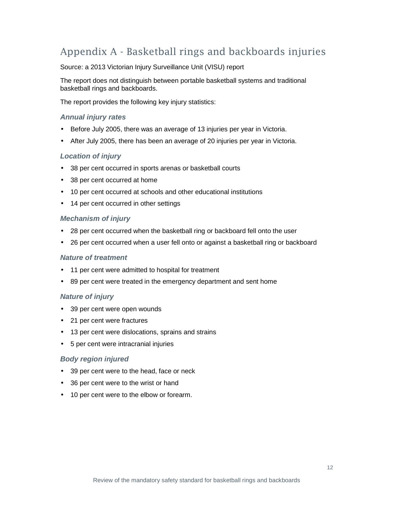# Appendix A - Basketball rings and backboards injuries

Source: a 2013 Victorian Injury Surveillance Unit (VISU) report

The report does not distinguish between portable basketball systems and traditional basketball rings and backboards.

The report provides the following key injury statistics:

#### **Annual injury rates**

- Before July 2005, there was an average of 13 injuries per year in Victoria.
- After July 2005, there has been an average of 20 injuries per year in Victoria.

#### **Location of injury**

- 38 per cent occurred in sports arenas or basketball courts
- 38 per cent occurred at home
- 10 per cent occurred at schools and other educational institutions
- 14 per cent occurred in other settings

#### **Mechanism of injury**

- 28 per cent occurred when the basketball ring or backboard fell onto the user
- 26 per cent occurred when a user fell onto or against a basketball ring or backboard

#### **Nature of treatment**

- 11 per cent were admitted to hospital for treatment
- 89 per cent were treated in the emergency department and sent home

#### **Nature of injury**

- 39 per cent were open wounds
- 21 per cent were fractures
- 13 per cent were dislocations, sprains and strains
- 5 per cent were intracranial injuries

#### **Body region injured**

- 39 per cent were to the head, face or neck
- 36 per cent were to the wrist or hand
- 10 per cent were to the elbow or forearm.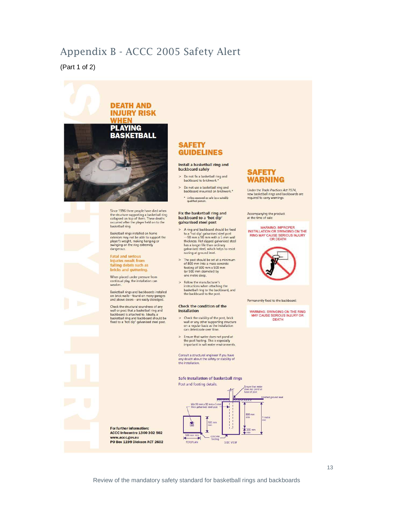## Appendix B - ACCC 2005 Safety Alert

(Part 1 of 2)



the structure supporting a basketball ring<br>collapsed on top of them. These deaths<br>occurred after the player held on to the basketball ring.

Basketball rings installed on home<br>exteriors may not be able to support the<br>player's weight, making hanging or<br>swinging on the ring extremely dangerous.

#### **Fatal and serious** injuries result from<br>falling debris such as bricks and guttering.

When placed under pressure from continual play, the installation can<br>weaken.

Basketball rings and backboards installed<br>on brick walls—found on many garages<br>and above doors—are easily dislodged.

Check the structural soundness of any<br>wall or post that a basketball ring and<br>baskebaarl is attached to . Ideally, a<br>basketball ring and backboard should be<br>fixed to a 'hot dip' galvanised steel post.

#### Fix the basketball ring and backboard to a 'hot dip' galvanised steel post

- A ring and backboard should be fixed A min and backonard snowled be mean<br>to a 'hot dip' galvanised steel post<br> $-90$  mm x 90 mm with a 5 mm wall<br>thickness. Hot dipped galvanised steel<br>has a longer life than ordinary<br>galvanised steel, which helps to resist<br>rus
- The post should be set at a minimum<br>of 800 mm into a mass concrete footing of 500 mm x 500 mm<br>(or 500 mm diameter) by one metre deep.
- > Follow the manufacturer's instructions when attaching the<br>basketball ring to the backboard, and<br>the backboard to the post.

#### Check the condition of the Installation

- > Check the stability of the post, brick wall or any other supporting structure<br>on a regular basis as the installation<br>can deteriorate over time.
- > Ensure that water does not pond at the post footing. This is especially<br>important in salt water environments

Consult a structural engineer if you have<br>any doubt about the safety or stability of<br>the installation.

#### Safe Installation of basketball rings



#### **SAFETY WARNING**

Under the *Trade Practices Act 1974*,<br>new basketball rings and backboards are required to carry warnings.

Accompanying the product<br>at the time of sale:

#### WARNING: IMPROPER<br>INSTALLATION OR SWINGING ON THE **RING MAY CAUSE SERIOUS INJURY** OR DEATH



Permanently fixed to the backboard

WARNING: SWINGING ON THE RING<br>MAY CAUSE SERIOUS INJURY OR

For further information: **ACCC Infocentre 1300 302 502** www.accc.gov.au<br>PO Box 1199 Dickson ACT 2602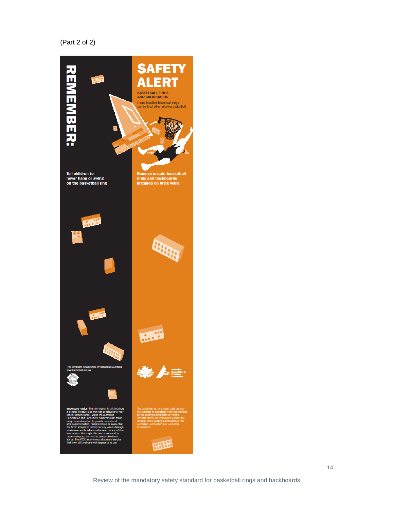#### (Part 2 of 2)